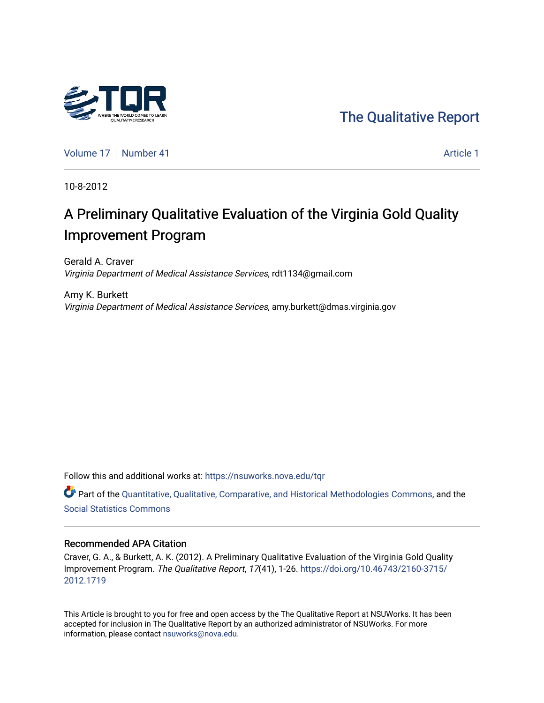

[The Qualitative Report](https://nsuworks.nova.edu/tqr) 

[Volume 17](https://nsuworks.nova.edu/tqr/vol17) [Number 41](https://nsuworks.nova.edu/tqr/vol17/iss41) Article 1

10-8-2012

# A Preliminary Qualitative Evaluation of the Virginia Gold Quality Improvement Program

Gerald A. Craver Virginia Department of Medical Assistance Services, rdt1134@gmail.com

Amy K. Burkett Virginia Department of Medical Assistance Services, amy.burkett@dmas.virginia.gov

Follow this and additional works at: [https://nsuworks.nova.edu/tqr](https://nsuworks.nova.edu/tqr?utm_source=nsuworks.nova.edu%2Ftqr%2Fvol17%2Fiss41%2F1&utm_medium=PDF&utm_campaign=PDFCoverPages) 

Part of the [Quantitative, Qualitative, Comparative, and Historical Methodologies Commons,](http://network.bepress.com/hgg/discipline/423?utm_source=nsuworks.nova.edu%2Ftqr%2Fvol17%2Fiss41%2F1&utm_medium=PDF&utm_campaign=PDFCoverPages) and the [Social Statistics Commons](http://network.bepress.com/hgg/discipline/1275?utm_source=nsuworks.nova.edu%2Ftqr%2Fvol17%2Fiss41%2F1&utm_medium=PDF&utm_campaign=PDFCoverPages) 

#### Recommended APA Citation

Craver, G. A., & Burkett, A. K. (2012). A Preliminary Qualitative Evaluation of the Virginia Gold Quality Improvement Program. The Qualitative Report, 17(41), 1-26. [https://doi.org/10.46743/2160-3715/](https://doi.org/10.46743/2160-3715/2012.1719) [2012.1719](https://doi.org/10.46743/2160-3715/2012.1719) 

This Article is brought to you for free and open access by the The Qualitative Report at NSUWorks. It has been accepted for inclusion in The Qualitative Report by an authorized administrator of NSUWorks. For more information, please contact [nsuworks@nova.edu.](mailto:nsuworks@nova.edu)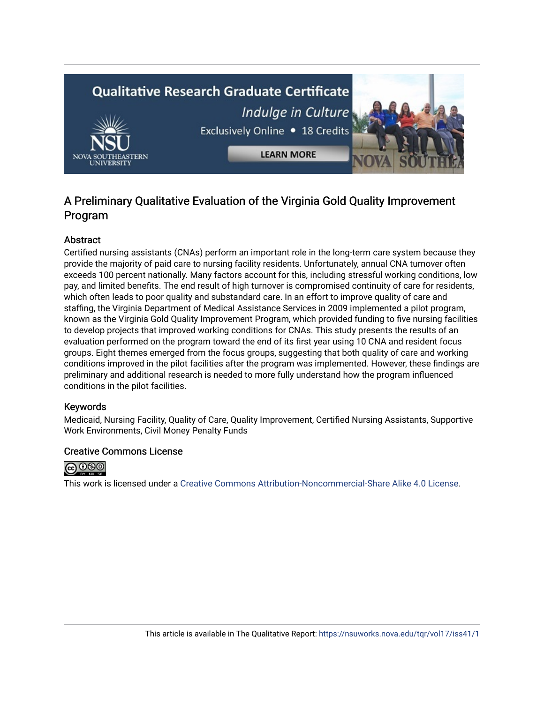# **Qualitative Research Graduate Certificate** Indulge in Culture Exclusively Online . 18 Credits **LEARN MORE**

# A Preliminary Qualitative Evaluation of the Virginia Gold Quality Improvement Program

# Abstract

Certified nursing assistants (CNAs) perform an important role in the long-term care system because they provide the majority of paid care to nursing facility residents. Unfortunately, annual CNA turnover often exceeds 100 percent nationally. Many factors account for this, including stressful working conditions, low pay, and limited benefits. The end result of high turnover is compromised continuity of care for residents, which often leads to poor quality and substandard care. In an effort to improve quality of care and staffing, the Virginia Department of Medical Assistance Services in 2009 implemented a pilot program, known as the Virginia Gold Quality Improvement Program, which provided funding to five nursing facilities to develop projects that improved working conditions for CNAs. This study presents the results of an evaluation performed on the program toward the end of its first year using 10 CNA and resident focus groups. Eight themes emerged from the focus groups, suggesting that both quality of care and working conditions improved in the pilot facilities after the program was implemented. However, these findings are preliminary and additional research is needed to more fully understand how the program influenced conditions in the pilot facilities.

## Keywords

Medicaid, Nursing Facility, Quality of Care, Quality Improvement, Certified Nursing Assistants, Supportive Work Environments, Civil Money Penalty Funds

## Creative Commons License



This work is licensed under a [Creative Commons Attribution-Noncommercial-Share Alike 4.0 License](https://creativecommons.org/licenses/by-nc-sa/4.0/).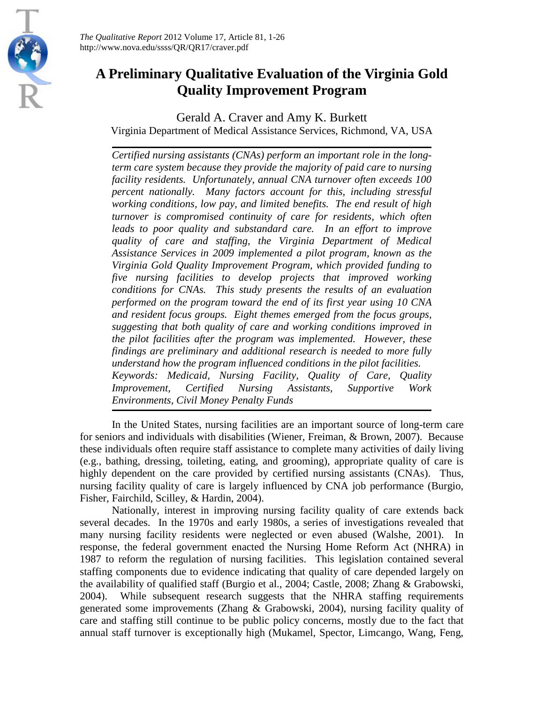

*The Qualitative Report* 2012 Volume 17, Article 81, 1-26 http://www.nova.edu/ssss/QR/QR17/craver.pdf

# **A Preliminary Qualitative Evaluation of the Virginia Gold Quality Improvement Program**

Gerald A. Craver and Amy K. Burkett

Virginia Department of Medical Assistance Services, Richmond, VA, USA

*Certified nursing assistants (CNAs) perform an important role in the longterm care system because they provide the majority of paid care to nursing facility residents. Unfortunately, annual CNA turnover often exceeds 100 percent nationally. Many factors account for this, including stressful working conditions, low pay, and limited benefits. The end result of high turnover is compromised continuity of care for residents, which often leads to poor quality and substandard care. In an effort to improve quality of care and staffing, the Virginia Department of Medical Assistance Services in 2009 implemented a pilot program, known as the Virginia Gold Quality Improvement Program, which provided funding to five nursing facilities to develop projects that improved working conditions for CNAs. This study presents the results of an evaluation performed on the program toward the end of its first year using 10 CNA and resident focus groups. Eight themes emerged from the focus groups, suggesting that both quality of care and working conditions improved in the pilot facilities after the program was implemented. However, these findings are preliminary and additional research is needed to more fully understand how the program influenced conditions in the pilot facilities. Keywords: Medicaid, Nursing Facility, Quality of Care, Quality Improvement, Certified Nursing Assistants, Supportive Work Environments, Civil Money Penalty Funds*

In the United States, nursing facilities are an important source of long-term care for seniors and individuals with disabilities (Wiener, Freiman, & Brown, 2007). Because these individuals often require staff assistance to complete many activities of daily living (e.g., bathing, dressing, toileting, eating, and grooming), appropriate quality of care is highly dependent on the care provided by certified nursing assistants (CNAs). Thus, nursing facility quality of care is largely influenced by CNA job performance (Burgio, Fisher, Fairchild, Scilley, & Hardin, 2004).

Nationally, interest in improving nursing facility quality of care extends back several decades. In the 1970s and early 1980s, a series of investigations revealed that many nursing facility residents were neglected or even abused (Walshe, 2001). In response, the federal government enacted the Nursing Home Reform Act (NHRA) in 1987 to reform the regulation of nursing facilities. This legislation contained several staffing components due to evidence indicating that quality of care depended largely on the availability of qualified staff (Burgio et al., 2004; Castle, 2008; Zhang & Grabowski, 2004). While subsequent research suggests that the NHRA staffing requirements generated some improvements (Zhang & Grabowski, 2004), nursing facility quality of care and staffing still continue to be public policy concerns, mostly due to the fact that annual staff turnover is exceptionally high (Mukamel, Spector, Limcango, Wang, Feng,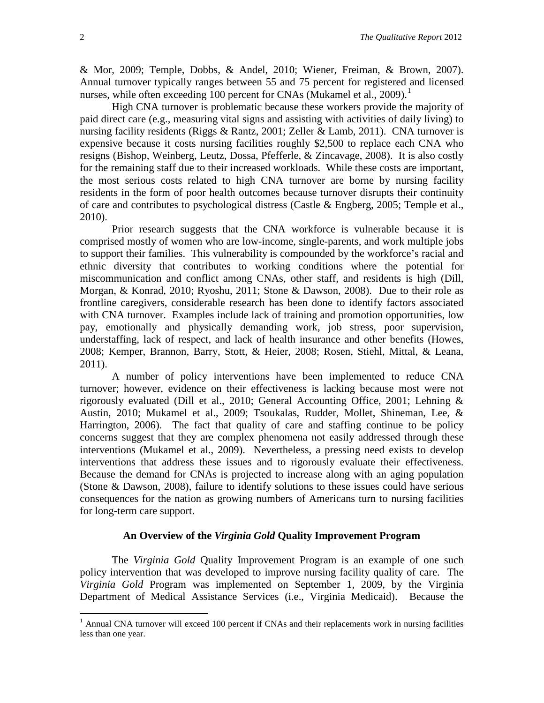& Mor, 2009; Temple, Dobbs, & Andel, 2010; Wiener, Freiman, & Brown, 2007). Annual turnover typically ranges between 55 and 75 percent for registered and licensed nurses, while often exceeding [1](#page-3-0)00 percent for CNAs (Mukamel et al., 2009).<sup>1</sup>

High CNA turnover is problematic because these workers provide the majority of paid direct care (e.g., measuring vital signs and assisting with activities of daily living) to nursing facility residents (Riggs & Rantz, 2001; Zeller & Lamb, 2011). CNA turnover is expensive because it costs nursing facilities roughly \$2,500 to replace each CNA who resigns (Bishop, Weinberg, Leutz, Dossa, Pfefferle, & Zincavage, 2008). It is also costly for the remaining staff due to their increased workloads. While these costs are important, the most serious costs related to high CNA turnover are borne by nursing facility residents in the form of poor health outcomes because turnover disrupts their continuity of care and contributes to psychological distress (Castle & Engberg, 2005; Temple et al., 2010).

Prior research suggests that the CNA workforce is vulnerable because it is comprised mostly of women who are low-income, single-parents, and work multiple jobs to support their families. This vulnerability is compounded by the workforce's racial and ethnic diversity that contributes to working conditions where the potential for miscommunication and conflict among CNAs, other staff, and residents is high (Dill, Morgan, & Konrad, 2010; Ryoshu, 2011; Stone & Dawson, 2008). Due to their role as frontline caregivers, considerable research has been done to identify factors associated with CNA turnover. Examples include lack of training and promotion opportunities, low pay, emotionally and physically demanding work, job stress, poor supervision, understaffing, lack of respect, and lack of health insurance and other benefits (Howes, 2008; Kemper, Brannon, Barry, Stott, & Heier, 2008; Rosen, Stiehl, Mittal, & Leana, 2011).

A number of policy interventions have been implemented to reduce CNA turnover; however, evidence on their effectiveness is lacking because most were not rigorously evaluated (Dill et al., 2010; General Accounting Office, 2001; Lehning & Austin, 2010; Mukamel et al., 2009; Tsoukalas, Rudder, Mollet, Shineman, Lee, & Harrington, 2006). The fact that quality of care and staffing continue to be policy concerns suggest that they are complex phenomena not easily addressed through these interventions (Mukamel et al., 2009). Nevertheless, a pressing need exists to develop interventions that address these issues and to rigorously evaluate their effectiveness. Because the demand for CNAs is projected to increase along with an aging population (Stone & Dawson, 2008), failure to identify solutions to these issues could have serious consequences for the nation as growing numbers of Americans turn to nursing facilities for long-term care support.

#### **An Overview of the** *Virginia Gold* **Quality Improvement Program**

The *Virginia Gold* Quality Improvement Program is an example of one such policy intervention that was developed to improve nursing facility quality of care. The *Virginia Gold* Program was implemented on September 1, 2009, by the Virginia Department of Medical Assistance Services (i.e., Virginia Medicaid). Because the

<span id="page-3-0"></span><sup>&</sup>lt;sup>1</sup> Annual CNA turnover will exceed 100 percent if CNAs and their replacements work in nursing facilities less than one year.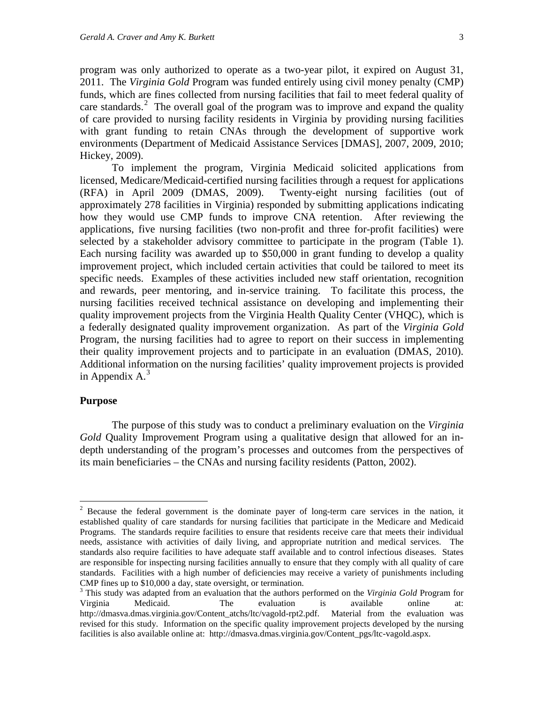program was only authorized to operate as a two-year pilot, it expired on August 31, 2011. The *Virginia Gold* Program was funded entirely using civil money penalty (CMP) funds, which are fines collected from nursing facilities that fail to meet federal quality of care standards.<sup>[2](#page-4-0)</sup> The overall goal of the program was to improve and expand the quality of care provided to nursing facility residents in Virginia by providing nursing facilities with grant funding to retain CNAs through the development of supportive work environments (Department of Medicaid Assistance Services [DMAS], 2007, 2009, 2010; Hickey, 2009).

To implement the program, Virginia Medicaid solicited applications from licensed, Medicare/Medicaid-certified nursing facilities through a request for applications (RFA) in April 2009 (DMAS, 2009). Twenty-eight nursing facilities (out of approximately 278 facilities in Virginia) responded by submitting applications indicating how they would use CMP funds to improve CNA retention. After reviewing the applications, five nursing facilities (two non-profit and three for-profit facilities) were selected by a stakeholder advisory committee to participate in the program (Table 1). Each nursing facility was awarded up to \$50,000 in grant funding to develop a quality improvement project, which included certain activities that could be tailored to meet its specific needs. Examples of these activities included new staff orientation, recognition and rewards, peer mentoring, and in-service training. To facilitate this process, the nursing facilities received technical assistance on developing and implementing their quality improvement projects from the Virginia Health Quality Center (VHQC), which is a federally designated quality improvement organization. As part of the *Virginia Gold* Program, the nursing facilities had to agree to report on their success in implementing their quality improvement projects and to participate in an evaluation (DMAS, 2010). Additional information on the nursing facilities' quality improvement projects is provided in Appendix A.<sup>[3](#page-4-1)</sup>

#### **Purpose**

The purpose of this study was to conduct a preliminary evaluation on the *Virginia Gold* Quality Improvement Program using a qualitative design that allowed for an indepth understanding of the program's processes and outcomes from the perspectives of its main beneficiaries – the CNAs and nursing facility residents (Patton, 2002).

<span id="page-4-0"></span><sup>&</sup>lt;sup>2</sup> Because the federal government is the dominate payer of long-term care services in the nation, it established quality of care standards for nursing facilities that participate in the Medicare and Medicaid Programs. The standards require facilities to ensure that residents receive care that meets their individual needs, assistance with activities of daily living, and appropriate nutrition and medical services. The standards also require facilities to have adequate staff available and to control infectious diseases. States are responsible for inspecting nursing facilities annually to ensure that they comply with all quality of care standards. Facilities with a high number of deficiencies may receive a variety of punishments including CMP fines up to \$10,000 a day, state oversight, or termination. <sup>3</sup> This study was adapted from an evaluation that the authors performed on the *Virginia Gold* Program for

<span id="page-4-1"></span>Virginia Medicaid. The evaluation is available online at: http://dmasva.dmas.virginia.gov/Content\_atchs/ltc/vagold-rpt2.pdf. Material from the evaluation was revised for this study. Information on the specific quality improvement projects developed by the nursing facilities is also available online at: http://dmasva.dmas.virginia.gov/Content\_pgs/ltc-vagold.aspx.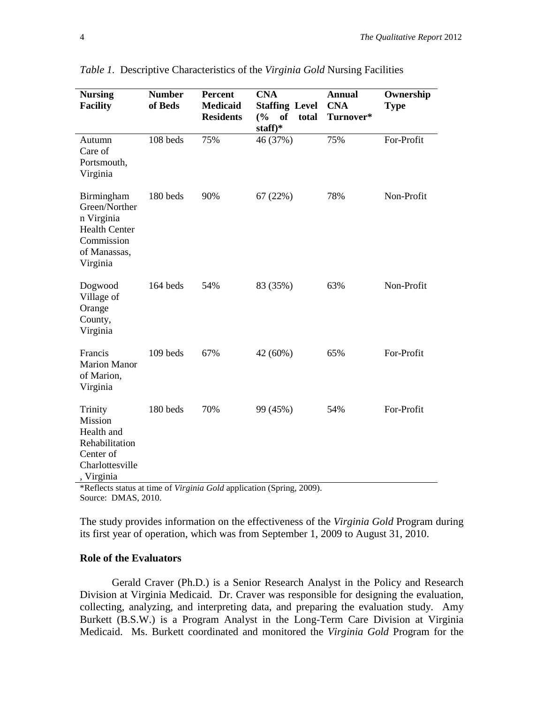| <b>Nursing</b><br><b>Facility</b>                                                                           | <b>Number</b><br>of Beds | <b>Percent</b><br><b>Medicaid</b><br><b>Residents</b> | <b>CNA</b><br><b>Staffing Level</b><br><b>of</b><br>(%)<br>total<br>staff)* | <b>Annual</b><br><b>CNA</b><br>Turnover* | Ownership<br><b>Type</b> |
|-------------------------------------------------------------------------------------------------------------|--------------------------|-------------------------------------------------------|-----------------------------------------------------------------------------|------------------------------------------|--------------------------|
| Autumn<br>Care of<br>Portsmouth,<br>Virginia                                                                | 108 beds                 | 75%                                                   | 46 (37%)                                                                    | 75%                                      | For-Profit               |
| Birmingham<br>Green/Norther<br>n Virginia<br><b>Health Center</b><br>Commission<br>of Manassas,<br>Virginia | 180 beds                 | 90%                                                   | 67(22%)                                                                     | 78%                                      | Non-Profit               |
| Dogwood<br>Village of<br>Orange<br>County,<br>Virginia                                                      | 164 beds                 | 54%                                                   | 83 (35%)                                                                    | 63%                                      | Non-Profit               |
| Francis<br><b>Marion Manor</b><br>of Marion,<br>Virginia                                                    | 109 beds                 | 67%                                                   | 42 (60%)                                                                    | 65%                                      | For-Profit               |
| Trinity<br>Mission<br>Health and<br>Rehabilitation<br>Center of<br>Charlottesville<br>Virginia              | 180 beds                 | 70%                                                   | 99 (45%)                                                                    | 54%                                      | For-Profit               |

*Table 1.* Descriptive Characteristics of the *Virginia Gold* Nursing Facilities

\*Reflects status at time of *Virginia Gold* application (Spring, 2009). Source: DMAS, 2010.

The study provides information on the effectiveness of the *Virginia Gold* Program during its first year of operation, which was from September 1, 2009 to August 31, 2010.

# **Role of the Evaluators**

Gerald Craver (Ph.D.) is a Senior Research Analyst in the Policy and Research Division at Virginia Medicaid. Dr. Craver was responsible for designing the evaluation, collecting, analyzing, and interpreting data, and preparing the evaluation study. Amy Burkett (B.S.W.) is a Program Analyst in the Long-Term Care Division at Virginia Medicaid. Ms. Burkett coordinated and monitored the *Virginia Gold* Program for the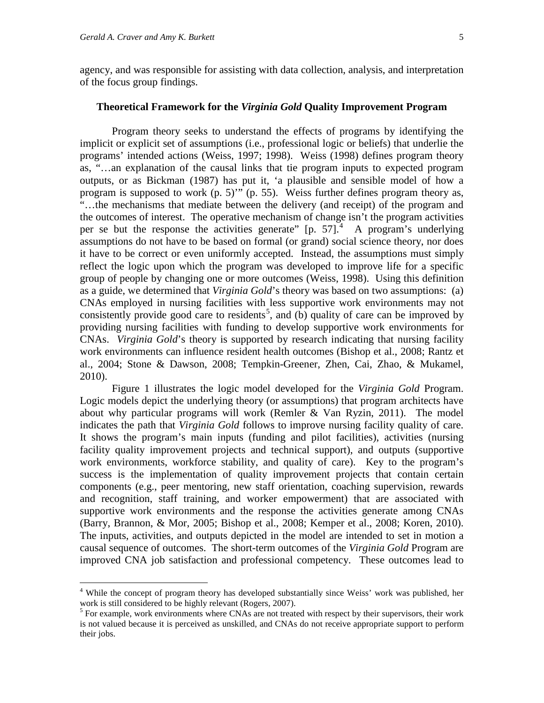agency, and was responsible for assisting with data collection, analysis, and interpretation of the focus group findings.

#### **Theoretical Framework for the** *Virginia Gold* **Quality Improvement Program**

Program theory seeks to understand the effects of programs by identifying the implicit or explicit set of assumptions (i.e., professional logic or beliefs) that underlie the programs' intended actions (Weiss, 1997; 1998). Weiss (1998) defines program theory as, "…an explanation of the causal links that tie program inputs to expected program outputs, or as Bickman (1987) has put it, 'a plausible and sensible model of how a program is supposed to work (p. 5)'" (p. 55). Weiss further defines program theory as, "…the mechanisms that mediate between the delivery (and receipt) of the program and the outcomes of interest. The operative mechanism of change isn't the program activities per se but the response the activities generate"  $[p, 57]$ . A program's underlying assumptions do not have to be based on formal (or grand) social science theory, nor does it have to be correct or even uniformly accepted. Instead, the assumptions must simply reflect the logic upon which the program was developed to improve life for a specific group of people by changing one or more outcomes (Weiss, 1998). Using this definition as a guide, we determined that *Virginia Gold*'s theory was based on two assumptions: (a) CNAs employed in nursing facilities with less supportive work environments may not consistently provide good care to residents<sup>[5](#page-6-1)</sup>, and  $\overrightarrow{b}$  quality of care can be improved by providing nursing facilities with funding to develop supportive work environments for CNAs. *Virginia Gold*'s theory is supported by research indicating that nursing facility work environments can influence resident health outcomes (Bishop et al., 2008; Rantz et al., 2004; Stone & Dawson, 2008; Tempkin-Greener, Zhen, Cai, Zhao, & Mukamel, 2010).

Figure 1 illustrates the logic model developed for the *Virginia Gold* Program. Logic models depict the underlying theory (or assumptions) that program architects have about why particular programs will work (Remler & Van Ryzin, 2011). The model indicates the path that *Virginia Gold* follows to improve nursing facility quality of care. It shows the program's main inputs (funding and pilot facilities), activities (nursing facility quality improvement projects and technical support), and outputs (supportive work environments, workforce stability, and quality of care). Key to the program's success is the implementation of quality improvement projects that contain certain components (e.g., peer mentoring, new staff orientation, coaching supervision, rewards and recognition, staff training, and worker empowerment) that are associated with supportive work environments and the response the activities generate among CNAs (Barry, Brannon, & Mor, 2005; Bishop et al., 2008; Kemper et al., 2008; Koren, 2010). The inputs, activities, and outputs depicted in the model are intended to set in motion a causal sequence of outcomes. The short-term outcomes of the *Virginia Gold* Program are improved CNA job satisfaction and professional competency. These outcomes lead to

<span id="page-6-0"></span> <sup>4</sup> While the concept of program theory has developed substantially since Weiss' work was published, her work is still considered to be highly relevant (Rogers, 2007).

<span id="page-6-1"></span><sup>&</sup>lt;sup>5</sup> For example, work environments where CNAs are not treated with respect by their supervisors, their work is not valued because it is perceived as unskilled, and CNAs do not receive appropriate support to perform their jobs.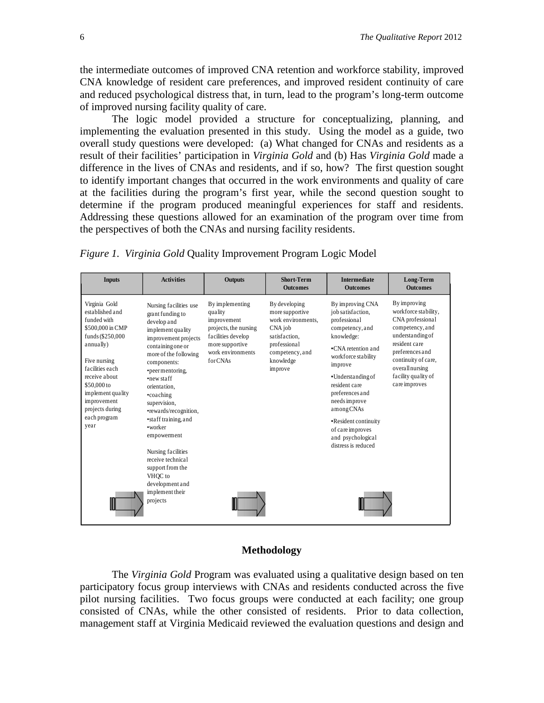the intermediate outcomes of improved CNA retention and workforce stability, improved CNA knowledge of resident care preferences, and improved resident continuity of care and reduced psychological distress that, in turn, lead to the program's long-term outcome of improved nursing facility quality of care.

The logic model provided a structure for conceptualizing, planning, and implementing the evaluation presented in this study. Using the model as a guide, two overall study questions were developed: (a) What changed for CNAs and residents as a result of their facilities' participation in *Virginia Gold* and (b) Has *Virginia Gold* made a difference in the lives of CNAs and residents, and if so, how? The first question sought to identify important changes that occurred in the work environments and quality of care at the facilities during the program's first year, while the second question sought to determine if the program produced meaningful experiences for staff and residents. Addressing these questions allowed for an examination of the program over time from the perspectives of both the CNAs and nursing facility residents.

*Figure 1. Virginia Gold* Quality Improvement Program Logic Model

| <b>Inputs</b>                                                                                                                                                                                                                                          | <b>Activities</b>                                                                                                                                                                                                                                                                                                                                                                                                          | <b>Outputs</b>                                                                                                                              | <b>Short-Term</b><br><b>Outcomes</b>                                                                                                          | <b>Intermediate</b><br><b>Outcomes</b>                                                                                                                                                                                                                                                                                        | Long-Term<br><b>Outcomes</b>                                                                                                                                                                                          |
|--------------------------------------------------------------------------------------------------------------------------------------------------------------------------------------------------------------------------------------------------------|----------------------------------------------------------------------------------------------------------------------------------------------------------------------------------------------------------------------------------------------------------------------------------------------------------------------------------------------------------------------------------------------------------------------------|---------------------------------------------------------------------------------------------------------------------------------------------|-----------------------------------------------------------------------------------------------------------------------------------------------|-------------------------------------------------------------------------------------------------------------------------------------------------------------------------------------------------------------------------------------------------------------------------------------------------------------------------------|-----------------------------------------------------------------------------------------------------------------------------------------------------------------------------------------------------------------------|
| Virginia Gold<br>established and<br>funded with<br>\$500,000 in CMP<br>funds (\$250,000<br>annually)<br>Five nursing<br>facilities each<br>receive about<br>\$50,000 to<br>implement quality<br>improvement<br>projects during<br>each program<br>year | Nursing facilities use<br>grant funding to<br>develop and<br>implement quality<br>improvement projects<br>containing one or<br>more of the following<br>components:<br>•peer mentoring,<br>•new staff<br>orientation.<br>•coaching<br>supervision,<br>•rewards/recognition,<br>•staff training, and<br>•worker<br>empowerment<br>Nursing facilities<br>receive technical<br>support from the<br>VHOC to<br>development and | By implementing<br>quality<br>improvement<br>projects, the nursing<br>facilities develop<br>more supportive<br>work environments<br>forCNAs | By developing<br>more supportive<br>work environments,<br>CNA job<br>satisfaction.<br>professional<br>competency, and<br>knowledge<br>improve | By improving CNA<br>job satisfaction.<br>professional<br>competency, and<br>knowledge:<br>.CNA retention and<br>workforce stability<br>improve<br>•Understanding of<br>resident care<br>preferences and<br>needs improve<br>amongCNAs<br>•Resident continuity<br>of care improves<br>and psychological<br>distress is reduced | By improving<br>workforce stability,<br>CNA professional<br>competency, and<br>understanding of<br>resident care<br>preferences and<br>continuity of care,<br>overall nursing<br>facility quality of<br>care improves |
|                                                                                                                                                                                                                                                        | implement their<br>projects                                                                                                                                                                                                                                                                                                                                                                                                |                                                                                                                                             |                                                                                                                                               |                                                                                                                                                                                                                                                                                                                               |                                                                                                                                                                                                                       |

#### **Methodology**

The *Virginia Gold* Program was evaluated using a qualitative design based on ten participatory focus group interviews with CNAs and residents conducted across the five pilot nursing facilities. Two focus groups were conducted at each facility; one group consisted of CNAs, while the other consisted of residents. Prior to data collection, management staff at Virginia Medicaid reviewed the evaluation questions and design and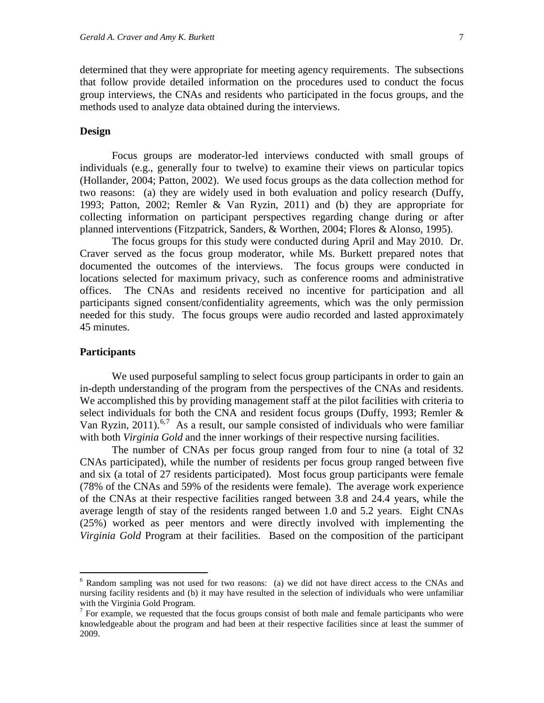determined that they were appropriate for meeting agency requirements. The subsections that follow provide detailed information on the procedures used to conduct the focus group interviews, the CNAs and residents who participated in the focus groups, and the methods used to analyze data obtained during the interviews.

#### **Design**

Focus groups are moderator-led interviews conducted with small groups of individuals (e.g., generally four to twelve) to examine their views on particular topics (Hollander, 2004; Patton, 2002). We used focus groups as the data collection method for two reasons: (a) they are widely used in both evaluation and policy research (Duffy, 1993; Patton, 2002; Remler & Van Ryzin, 2011) and (b) they are appropriate for collecting information on participant perspectives regarding change during or after planned interventions (Fitzpatrick, Sanders, & Worthen, 2004; Flores & Alonso, 1995).

The focus groups for this study were conducted during April and May 2010. Dr. Craver served as the focus group moderator, while Ms. Burkett prepared notes that documented the outcomes of the interviews. The focus groups were conducted in locations selected for maximum privacy, such as conference rooms and administrative offices. The CNAs and residents received no incentive for participation and all participants signed consent/confidentiality agreements, which was the only permission needed for this study. The focus groups were audio recorded and lasted approximately 45 minutes.

#### **Participants**

We used purposeful sampling to select focus group participants in order to gain an in-depth understanding of the program from the perspectives of the CNAs and residents. We accomplished this by providing management staff at the pilot facilities with criteria to select individuals for both the CNA and resident focus groups (Duffy, 1993; Remler & Van Ryzin,  $2011$ ).<sup>[6](#page-8-0),[7](#page-8-1)</sup> As a result, our sample consisted of individuals who were familiar with both *Virginia Gold* and the inner workings of their respective nursing facilities.

The number of CNAs per focus group ranged from four to nine (a total of 32 CNAs participated), while the number of residents per focus group ranged between five and six (a total of 27 residents participated). Most focus group participants were female (78% of the CNAs and 59% of the residents were female). The average work experience of the CNAs at their respective facilities ranged between 3.8 and 24.4 years, while the average length of stay of the residents ranged between 1.0 and 5.2 years. Eight CNAs (25%) worked as peer mentors and were directly involved with implementing the *Virginia Gold* Program at their facilities. Based on the composition of the participant

<span id="page-8-0"></span> <sup>6</sup> Random sampling was not used for two reasons: (a) we did not have direct access to the CNAs and nursing facility residents and (b) it may have resulted in the selection of individuals who were unfamiliar with the Virginia Gold Program.

<span id="page-8-1"></span><sup>&</sup>lt;sup>7</sup> For example, we requested that the focus groups consist of both male and female participants who were knowledgeable about the program and had been at their respective facilities since at least the summer of 2009.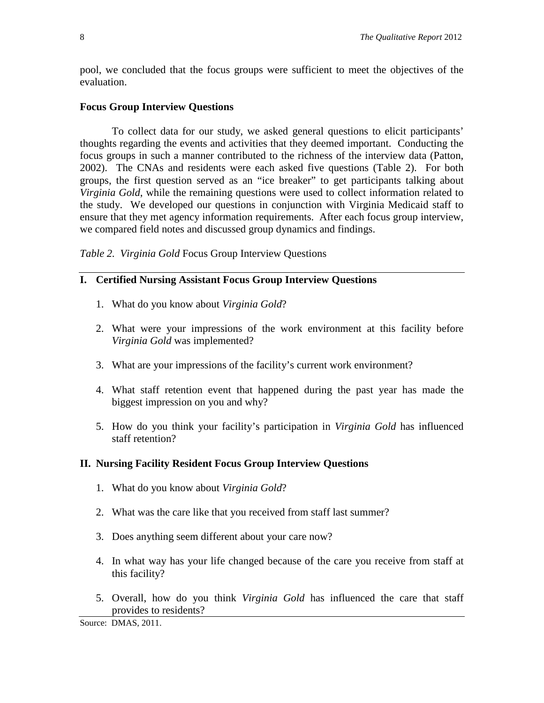pool, we concluded that the focus groups were sufficient to meet the objectives of the evaluation.

# **Focus Group Interview Questions**

To collect data for our study, we asked general questions to elicit participants' thoughts regarding the events and activities that they deemed important. Conducting the focus groups in such a manner contributed to the richness of the interview data (Patton, 2002). The CNAs and residents were each asked five questions (Table 2). For both groups, the first question served as an "ice breaker" to get participants talking about *Virginia Gold*, while the remaining questions were used to collect information related to the study. We developed our questions in conjunction with Virginia Medicaid staff to ensure that they met agency information requirements. After each focus group interview, we compared field notes and discussed group dynamics and findings.

*Table 2. Virginia Gold* Focus Group Interview Questions

# **I. Certified Nursing Assistant Focus Group Interview Questions**

- 1. What do you know about *Virginia Gold*?
- 2. What were your impressions of the work environment at this facility before *Virginia Gold* was implemented?
- 3. What are your impressions of the facility's current work environment?
- 4. What staff retention event that happened during the past year has made the biggest impression on you and why?
- 5. How do you think your facility's participation in *Virginia Gold* has influenced staff retention?

## **II. Nursing Facility Resident Focus Group Interview Questions**

- 1. What do you know about *Virginia Gold*?
- 2. What was the care like that you received from staff last summer?
- 3. Does anything seem different about your care now?
- 4. In what way has your life changed because of the care you receive from staff at this facility?
- 5. Overall, how do you think *Virginia Gold* has influenced the care that staff provides to residents?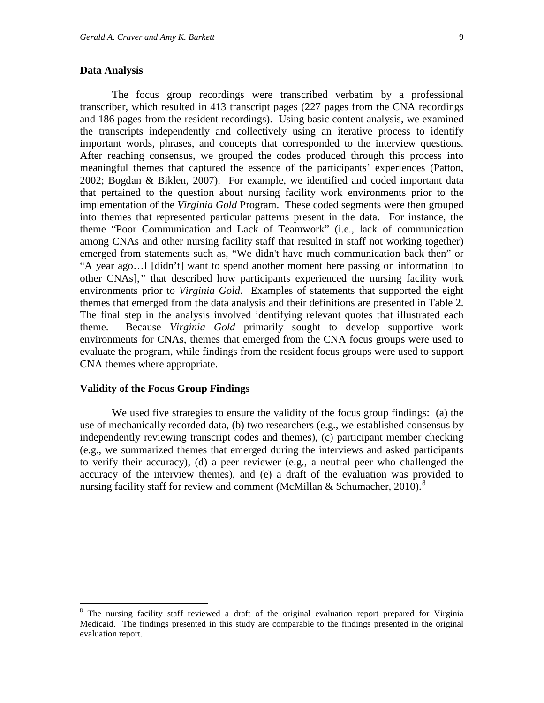#### **Data Analysis**

The focus group recordings were transcribed verbatim by a professional transcriber, which resulted in 413 transcript pages (227 pages from the CNA recordings and 186 pages from the resident recordings). Using basic content analysis, we examined the transcripts independently and collectively using an iterative process to identify important words, phrases, and concepts that corresponded to the interview questions. After reaching consensus, we grouped the codes produced through this process into meaningful themes that captured the essence of the participants' experiences (Patton, 2002; Bogdan & Biklen, 2007). For example, we identified and coded important data that pertained to the question about nursing facility work environments prior to the implementation of the *Virginia Gold* Program. These coded segments were then grouped into themes that represented particular patterns present in the data. For instance, the theme "Poor Communication and Lack of Teamwork" (i.e., lack of communication among CNAs and other nursing facility staff that resulted in staff not working together) emerged from statements such as, "We didn't have much communication back then" or "A year ago…I [didn't] want to spend another moment here passing on information [to other CNAs],*"* that described how participants experienced the nursing facility work environments prior to *Virginia Gold*. Examples of statements that supported the eight themes that emerged from the data analysis and their definitions are presented in Table 2. The final step in the analysis involved identifying relevant quotes that illustrated each theme. Because *Virginia Gold* primarily sought to develop supportive work environments for CNAs, themes that emerged from the CNA focus groups were used to evaluate the program, while findings from the resident focus groups were used to support CNA themes where appropriate.

#### **Validity of the Focus Group Findings**

We used five strategies to ensure the validity of the focus group findings: (a) the use of mechanically recorded data, (b) two researchers (e.g., we established consensus by independently reviewing transcript codes and themes), (c) participant member checking (e.g., we summarized themes that emerged during the interviews and asked participants to verify their accuracy), (d) a peer reviewer (e.g., a neutral peer who challenged the accuracy of the interview themes), and (e) a draft of the evaluation was provided to nursing facility staff for review and comment (McMillan & Schumacher, 2010).<sup>[8](#page-10-0)</sup>

<span id="page-10-0"></span><sup>&</sup>lt;sup>8</sup> The nursing facility staff reviewed a draft of the original evaluation report prepared for Virginia Medicaid. The findings presented in this study are comparable to the findings presented in the original evaluation report.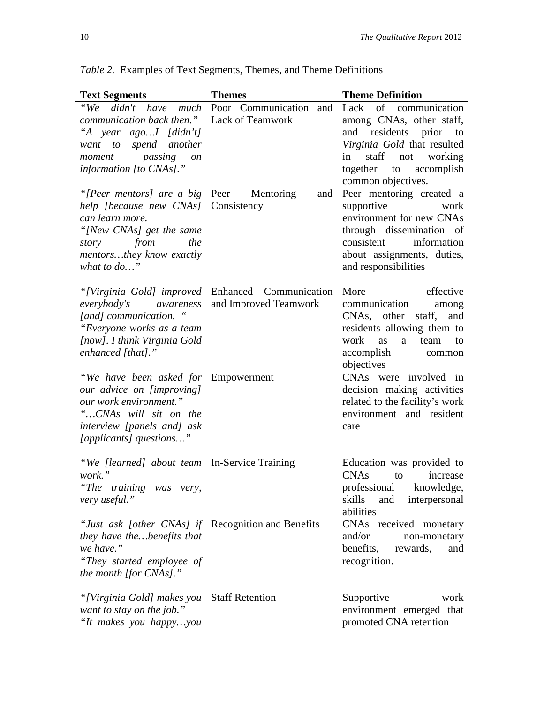| <b>Text Segments</b>                                                                                                                                                                                  | <b>Themes</b>                                                             | <b>Theme Definition</b>                                                                                                                                                                   |  |
|-------------------------------------------------------------------------------------------------------------------------------------------------------------------------------------------------------|---------------------------------------------------------------------------|-------------------------------------------------------------------------------------------------------------------------------------------------------------------------------------------|--|
| communication back then." Lack of Teamwork<br>"A year agoI [didn't]<br>want to spend another<br>passing<br>moment<br><sub>on</sub><br>information [to CNAs]."                                         | "We didn't have much Poor Communication and Lack of communication         | among CNAs, other staff,<br>and residents prior to<br>Virginia Gold that resulted<br>staff not working<br>in<br>together to accomplish<br>common objectives.                              |  |
| "[Peer mentors] are a big Peer Mentoring"<br>help [because new CNAs] Consistency<br>can learn more.<br>"[New CNAs] get the same<br>from<br>the<br>story<br>mentorsthey know exactly<br>what to $do$ " | and                                                                       | Peer mentoring created a<br>supportive<br>work<br>environment for new CNAs<br>through dissemination of<br>information<br>consistent<br>about assignments, duties,<br>and responsibilities |  |
| everybody's<br>awareness<br>[and] communication. "<br>"Everyone works as a team<br>[now]. I think Virginia Gold<br>enhanced [that]."                                                                  | "[Virginia Gold] improved Enhanced Communication<br>and Improved Teamwork | More<br>effective<br>communication<br>among<br>CNAs, other<br>staff, and<br>residents allowing them to<br>work<br><b>as</b><br>a<br>team<br>to<br>accomplish<br>common<br>objectives      |  |
| "We have been asked for Empowerment<br>our advice on [improving]<br>our work environment."<br>"CNAs will sit on the<br><i>interview</i> [panels and] ask<br>[applicants] questions"                   |                                                                           | CNAs were involved in<br>decision making activities<br>related to the facility's work<br>environment and resident<br>care                                                                 |  |
| "We [learned] about team In-Service Training<br>work."<br>"The training was very,<br>very useful."                                                                                                    |                                                                           | Education was provided to<br><b>CNAs</b><br>increase<br>to<br>professional<br>knowledge,<br>skills<br>interpersonal<br>and<br>abilities                                                   |  |
| "Just ask [other CNAs] if Recognition and Benefits<br>they have thebenefits that<br>we have."<br>"They started employee of<br>the month [for CNAs]."                                                  |                                                                           | CNAs received monetary<br>and/or<br>non-monetary<br>benefits,<br>rewards,<br>and<br>recognition.                                                                                          |  |
| "[Virginia Gold] makes you<br>want to stay on the job."<br>"It makes you happyyou                                                                                                                     | <b>Staff Retention</b>                                                    | Supportive<br>work<br>environment emerged that<br>promoted CNA retention                                                                                                                  |  |

*Table 2.* Examples of Text Segments, Themes, and Theme Definitions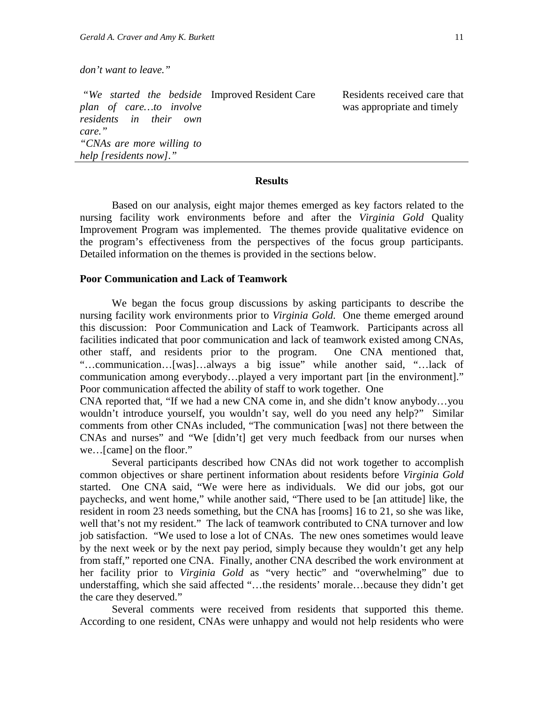*don't want to leave."*

*"We started the bedside plan of care…to involve residents in their own care." "CNAs are more willing to help [residents now]."* Residents received care that was appropriate and timely

#### **Results**

Based on our analysis, eight major themes emerged as key factors related to the nursing facility work environments before and after the *Virginia Gold* Quality Improvement Program was implemented. The themes provide qualitative evidence on the program's effectiveness from the perspectives of the focus group participants. Detailed information on the themes is provided in the sections below.

#### **Poor Communication and Lack of Teamwork**

We began the focus group discussions by asking participants to describe the nursing facility work environments prior to *Virginia Gold*. One theme emerged around this discussion: Poor Communication and Lack of Teamwork. Participants across all facilities indicated that poor communication and lack of teamwork existed among CNAs, other staff, and residents prior to the program. One CNA mentioned that, "…communication…[was]…always a big issue" while another said, "…lack of communication among everybody…played a very important part [in the environment]." Poor communication affected the ability of staff to work together. One

CNA reported that, "If we had a new CNA come in, and she didn't know anybody…you wouldn't introduce yourself, you wouldn't say, well do you need any help?" Similar comments from other CNAs included, "The communication [was] not there between the CNAs and nurses" and "We [didn't] get very much feedback from our nurses when we…[came] on the floor."

Several participants described how CNAs did not work together to accomplish common objectives or share pertinent information about residents before *Virginia Gold* started. One CNA said, "We were here as individuals. We did our jobs, got our paychecks, and went home," while another said, "There used to be [an attitude] like, the resident in room 23 needs something, but the CNA has [rooms] 16 to 21, so she was like, well that's not my resident." The lack of teamwork contributed to CNA turnover and low job satisfaction. "We used to lose a lot of CNAs. The new ones sometimes would leave by the next week or by the next pay period, simply because they wouldn't get any help from staff," reported one CNA. Finally, another CNA described the work environment at her facility prior to *Virginia Gold* as "very hectic" and "overwhelming" due to understaffing, which she said affected "…the residents' morale…because they didn't get the care they deserved."

Several comments were received from residents that supported this theme. According to one resident, CNAs were unhappy and would not help residents who were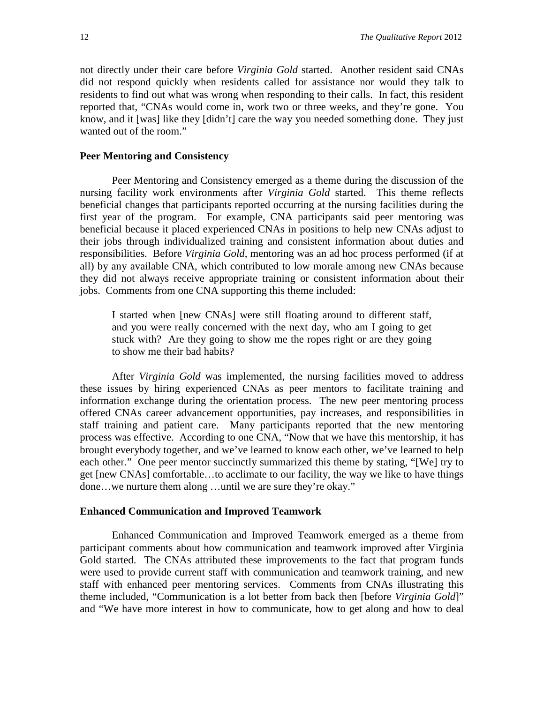not directly under their care before *Virginia Gold* started. Another resident said CNAs did not respond quickly when residents called for assistance nor would they talk to residents to find out what was wrong when responding to their calls. In fact, this resident reported that, "CNAs would come in, work two or three weeks, and they're gone. You know, and it [was] like they [didn't] care the way you needed something done. They just wanted out of the room."

#### **Peer Mentoring and Consistency**

Peer Mentoring and Consistency emerged as a theme during the discussion of the nursing facility work environments after *Virginia Gold* started. This theme reflects beneficial changes that participants reported occurring at the nursing facilities during the first year of the program. For example, CNA participants said peer mentoring was beneficial because it placed experienced CNAs in positions to help new CNAs adjust to their jobs through individualized training and consistent information about duties and responsibilities. Before *Virginia Gold*, mentoring was an ad hoc process performed (if at all) by any available CNA, which contributed to low morale among new CNAs because they did not always receive appropriate training or consistent information about their jobs. Comments from one CNA supporting this theme included:

I started when [new CNAs] were still floating around to different staff, and you were really concerned with the next day, who am I going to get stuck with? Are they going to show me the ropes right or are they going to show me their bad habits?

After *Virginia Gold* was implemented, the nursing facilities moved to address these issues by hiring experienced CNAs as peer mentors to facilitate training and information exchange during the orientation process. The new peer mentoring process offered CNAs career advancement opportunities, pay increases, and responsibilities in staff training and patient care. Many participants reported that the new mentoring process was effective. According to one CNA, "Now that we have this mentorship, it has brought everybody together, and we've learned to know each other, we've learned to help each other." One peer mentor succinctly summarized this theme by stating, "[We] try to get [new CNAs] comfortable…to acclimate to our facility, the way we like to have things done…we nurture them along …until we are sure they're okay."

#### **Enhanced Communication and Improved Teamwork**

Enhanced Communication and Improved Teamwork emerged as a theme from participant comments about how communication and teamwork improved after Virginia Gold started. The CNAs attributed these improvements to the fact that program funds were used to provide current staff with communication and teamwork training, and new staff with enhanced peer mentoring services. Comments from CNAs illustrating this theme included, "Communication is a lot better from back then [before *Virginia Gold*]" and "We have more interest in how to communicate, how to get along and how to deal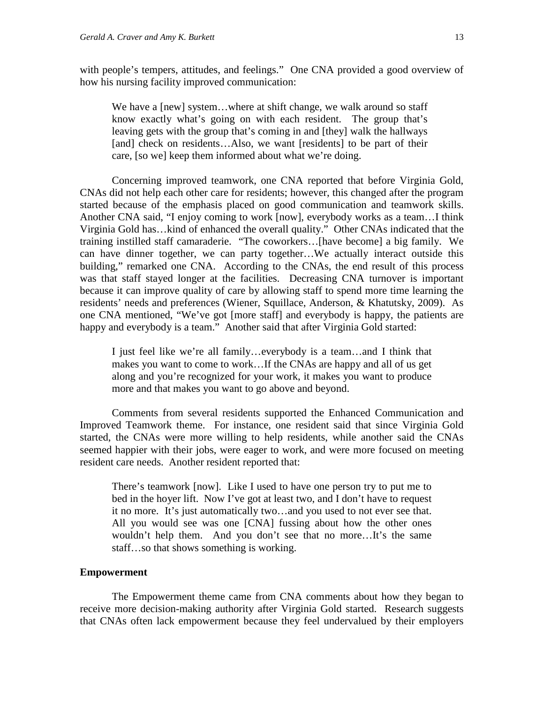with people's tempers, attitudes, and feelings." One CNA provided a good overview of how his nursing facility improved communication:

We have a [new] system...where at shift change, we walk around so staff know exactly what's going on with each resident. The group that's leaving gets with the group that's coming in and [they] walk the hallways [and] check on residents...Also, we want [residents] to be part of their care, [so we] keep them informed about what we're doing.

Concerning improved teamwork, one CNA reported that before Virginia Gold, CNAs did not help each other care for residents; however, this changed after the program started because of the emphasis placed on good communication and teamwork skills. Another CNA said, "I enjoy coming to work [now], everybody works as a team…I think Virginia Gold has…kind of enhanced the overall quality." Other CNAs indicated that the training instilled staff camaraderie. "The coworkers…[have become] a big family. We can have dinner together, we can party together…We actually interact outside this building," remarked one CNA. According to the CNAs, the end result of this process was that staff stayed longer at the facilities. Decreasing CNA turnover is important because it can improve quality of care by allowing staff to spend more time learning the residents' needs and preferences (Wiener, Squillace, Anderson, & Khatutsky, 2009). As one CNA mentioned, "We've got [more staff] and everybody is happy, the patients are happy and everybody is a team." Another said that after Virginia Gold started:

I just feel like we're all family…everybody is a team…and I think that makes you want to come to work…If the CNAs are happy and all of us get along and you're recognized for your work, it makes you want to produce more and that makes you want to go above and beyond.

Comments from several residents supported the Enhanced Communication and Improved Teamwork theme. For instance, one resident said that since Virginia Gold started, the CNAs were more willing to help residents, while another said the CNAs seemed happier with their jobs, were eager to work, and were more focused on meeting resident care needs. Another resident reported that:

There's teamwork [now]. Like I used to have one person try to put me to bed in the hoyer lift. Now I've got at least two, and I don't have to request it no more. It's just automatically two…and you used to not ever see that. All you would see was one [CNA] fussing about how the other ones wouldn't help them. And you don't see that no more…It's the same staff…so that shows something is working.

#### **Empowerment**

The Empowerment theme came from CNA comments about how they began to receive more decision-making authority after Virginia Gold started. Research suggests that CNAs often lack empowerment because they feel undervalued by their employers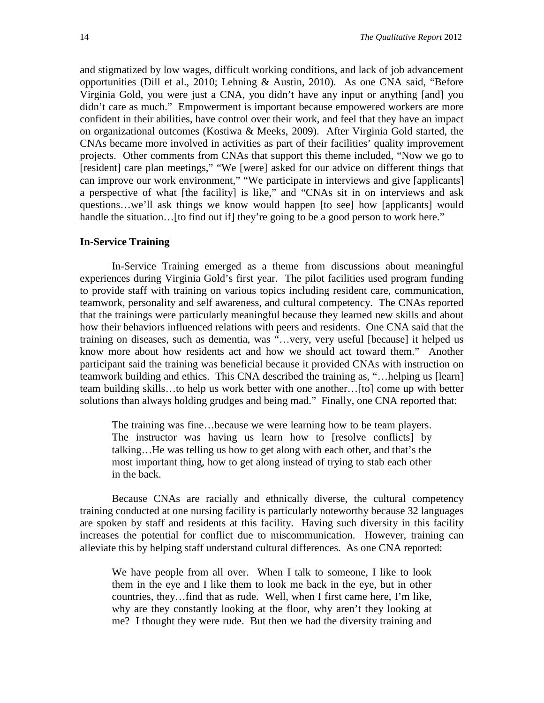and stigmatized by low wages, difficult working conditions, and lack of job advancement opportunities (Dill et al., 2010; Lehning & Austin, 2010). As one CNA said, "Before Virginia Gold, you were just a CNA, you didn't have any input or anything [and] you didn't care as much." Empowerment is important because empowered workers are more confident in their abilities, have control over their work, and feel that they have an impact on organizational outcomes (Kostiwa & Meeks, 2009). After Virginia Gold started, the CNAs became more involved in activities as part of their facilities' quality improvement projects. Other comments from CNAs that support this theme included, "Now we go to [resident] care plan meetings," "We [were] asked for our advice on different things that can improve our work environment," "We participate in interviews and give [applicants] a perspective of what [the facility] is like," and "CNAs sit in on interviews and ask questions…we'll ask things we know would happen [to see] how [applicants] would handle the situation... [to find out if] they're going to be a good person to work here."

#### **In-Service Training**

In-Service Training emerged as a theme from discussions about meaningful experiences during Virginia Gold's first year. The pilot facilities used program funding to provide staff with training on various topics including resident care, communication, teamwork, personality and self awareness, and cultural competency. The CNAs reported that the trainings were particularly meaningful because they learned new skills and about how their behaviors influenced relations with peers and residents. One CNA said that the training on diseases, such as dementia, was "…very, very useful [because] it helped us know more about how residents act and how we should act toward them." Another participant said the training was beneficial because it provided CNAs with instruction on teamwork building and ethics. This CNA described the training as, "…helping us [learn] team building skills…to help us work better with one another…[to] come up with better solutions than always holding grudges and being mad." Finally, one CNA reported that:

The training was fine…because we were learning how to be team players. The instructor was having us learn how to [resolve conflicts] by talking…He was telling us how to get along with each other, and that's the most important thing, how to get along instead of trying to stab each other in the back.

Because CNAs are racially and ethnically diverse, the cultural competency training conducted at one nursing facility is particularly noteworthy because 32 languages are spoken by staff and residents at this facility. Having such diversity in this facility increases the potential for conflict due to miscommunication. However, training can alleviate this by helping staff understand cultural differences. As one CNA reported:

We have people from all over. When I talk to someone, I like to look them in the eye and I like them to look me back in the eye, but in other countries, they…find that as rude. Well, when I first came here, I'm like, why are they constantly looking at the floor, why aren't they looking at me? I thought they were rude. But then we had the diversity training and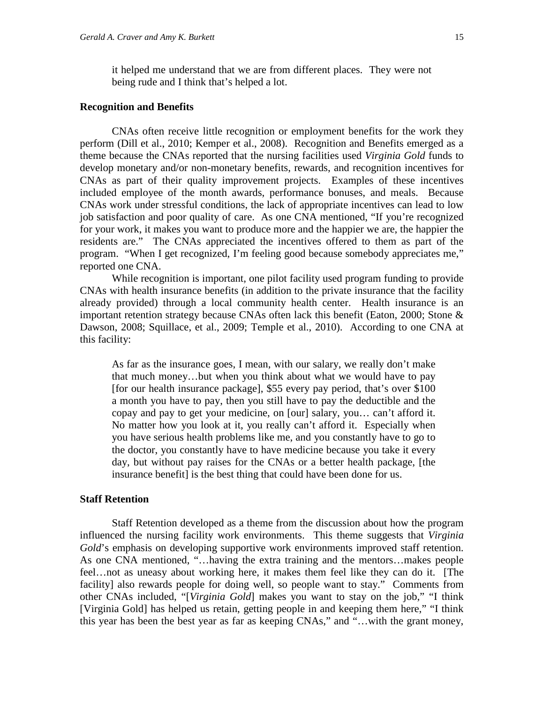it helped me understand that we are from different places. They were not being rude and I think that's helped a lot.

#### **Recognition and Benefits**

CNAs often receive little recognition or employment benefits for the work they perform (Dill et al., 2010; Kemper et al., 2008). Recognition and Benefits emerged as a theme because the CNAs reported that the nursing facilities used *Virginia Gold* funds to develop monetary and/or non-monetary benefits, rewards, and recognition incentives for CNAs as part of their quality improvement projects. Examples of these incentives included employee of the month awards, performance bonuses, and meals. Because CNAs work under stressful conditions, the lack of appropriate incentives can lead to low job satisfaction and poor quality of care. As one CNA mentioned, "If you're recognized for your work, it makes you want to produce more and the happier we are, the happier the residents are." The CNAs appreciated the incentives offered to them as part of the program. "When I get recognized, I'm feeling good because somebody appreciates me," reported one CNA.

While recognition is important, one pilot facility used program funding to provide CNAs with health insurance benefits (in addition to the private insurance that the facility already provided) through a local community health center. Health insurance is an important retention strategy because CNAs often lack this benefit (Eaton, 2000; Stone & Dawson, 2008; Squillace, et al., 2009; Temple et al., 2010). According to one CNA at this facility:

As far as the insurance goes, I mean, with our salary, we really don't make that much money…but when you think about what we would have to pay [for our health insurance package], \$55 every pay period, that's over \$100 a month you have to pay, then you still have to pay the deductible and the copay and pay to get your medicine, on [our] salary, you… can't afford it. No matter how you look at it, you really can't afford it. Especially when you have serious health problems like me, and you constantly have to go to the doctor, you constantly have to have medicine because you take it every day, but without pay raises for the CNAs or a better health package, [the insurance benefit] is the best thing that could have been done for us.

#### **Staff Retention**

Staff Retention developed as a theme from the discussion about how the program influenced the nursing facility work environments. This theme suggests that *Virginia Gold*'s emphasis on developing supportive work environments improved staff retention. As one CNA mentioned, "…having the extra training and the mentors…makes people feel…not as uneasy about working here, it makes them feel like they can do it. [The facility] also rewards people for doing well, so people want to stay." Comments from other CNAs included, "[*Virginia Gold*] makes you want to stay on the job," "I think [Virginia Gold] has helped us retain, getting people in and keeping them here," "I think this year has been the best year as far as keeping CNAs," and "…with the grant money,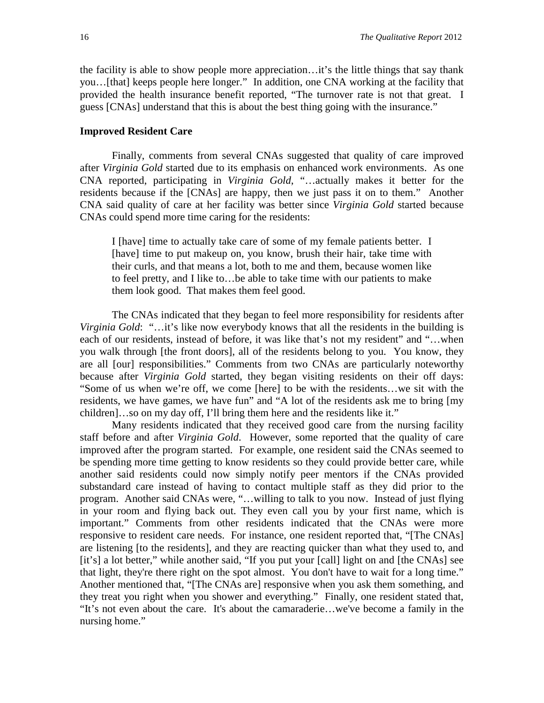the facility is able to show people more appreciation…it's the little things that say thank you…[that] keeps people here longer." In addition, one CNA working at the facility that provided the health insurance benefit reported, "The turnover rate is not that great. I guess [CNAs] understand that this is about the best thing going with the insurance."

#### **Improved Resident Care**

Finally, comments from several CNAs suggested that quality of care improved after *Virginia Gold* started due to its emphasis on enhanced work environments. As one CNA reported, participating in *Virginia Gold*, "…actually makes it better for the residents because if the [CNAs] are happy, then we just pass it on to them." Another CNA said quality of care at her facility was better since *Virginia Gold* started because CNAs could spend more time caring for the residents:

I [have] time to actually take care of some of my female patients better. I [have] time to put makeup on, you know, brush their hair, take time with their curls, and that means a lot, both to me and them, because women like to feel pretty, and I like to…be able to take time with our patients to make them look good. That makes them feel good.

The CNAs indicated that they began to feel more responsibility for residents after *Virginia Gold*: "…it's like now everybody knows that all the residents in the building is each of our residents, instead of before, it was like that's not my resident" and "…when you walk through [the front doors], all of the residents belong to you. You know, they are all [our] responsibilities." Comments from two CNAs are particularly noteworthy because after *Virginia Gold* started, they began visiting residents on their off days: "Some of us when we're off, we come [here] to be with the residents…we sit with the residents, we have games, we have fun" and "A lot of the residents ask me to bring [my children]…so on my day off, I'll bring them here and the residents like it."

Many residents indicated that they received good care from the nursing facility staff before and after *Virginia Gold*. However, some reported that the quality of care improved after the program started. For example, one resident said the CNAs seemed to be spending more time getting to know residents so they could provide better care, while another said residents could now simply notify peer mentors if the CNAs provided substandard care instead of having to contact multiple staff as they did prior to the program. Another said CNAs were, "…willing to talk to you now. Instead of just flying in your room and flying back out. They even call you by your first name, which is important." Comments from other residents indicated that the CNAs were more responsive to resident care needs. For instance, one resident reported that, "[The CNAs] are listening [to the residents], and they are reacting quicker than what they used to, and [it's] a lot better," while another said, "If you put your [call] light on and [the CNAs] see that light, they're there right on the spot almost. You don't have to wait for a long time." Another mentioned that, "[The CNAs are] responsive when you ask them something, and they treat you right when you shower and everything." Finally, one resident stated that, "It's not even about the care. It's about the camaraderie…we've become a family in the nursing home."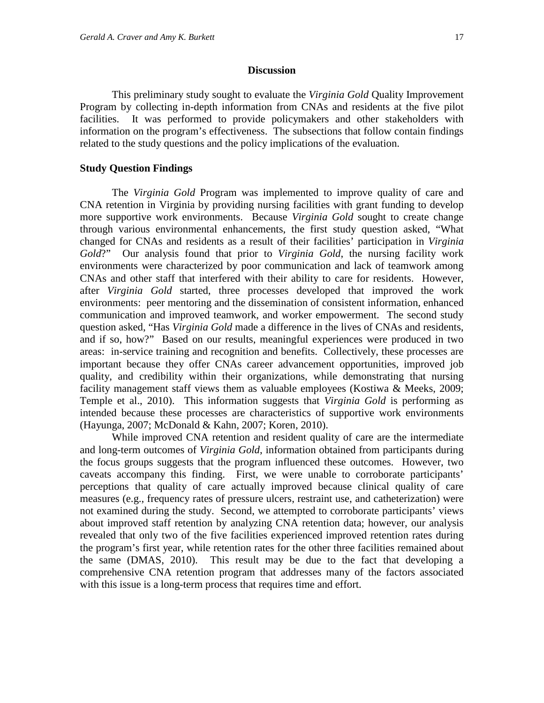#### **Discussion**

This preliminary study sought to evaluate the *Virginia Gold* Quality Improvement Program by collecting in-depth information from CNAs and residents at the five pilot facilities. It was performed to provide policymakers and other stakeholders with information on the program's effectiveness. The subsections that follow contain findings related to the study questions and the policy implications of the evaluation.

#### **Study Question Findings**

The *Virginia Gold* Program was implemented to improve quality of care and CNA retention in Virginia by providing nursing facilities with grant funding to develop more supportive work environments. Because *Virginia Gold* sought to create change through various environmental enhancements, the first study question asked, "What changed for CNAs and residents as a result of their facilities' participation in *Virginia Gold*?" Our analysis found that prior to *Virginia Gold*, the nursing facility work environments were characterized by poor communication and lack of teamwork among CNAs and other staff that interfered with their ability to care for residents. However, after *Virginia Gold* started, three processes developed that improved the work environments: peer mentoring and the dissemination of consistent information, enhanced communication and improved teamwork, and worker empowerment. The second study question asked, "Has *Virginia Gold* made a difference in the lives of CNAs and residents, and if so, how?" Based on our results, meaningful experiences were produced in two areas: in-service training and recognition and benefits. Collectively, these processes are important because they offer CNAs career advancement opportunities, improved job quality, and credibility within their organizations, while demonstrating that nursing facility management staff views them as valuable employees (Kostiwa & Meeks, 2009; Temple et al., 2010). This information suggests that *Virginia Gold* is performing as intended because these processes are characteristics of supportive work environments (Hayunga, 2007; McDonald & Kahn, 2007; Koren, 2010).

While improved CNA retention and resident quality of care are the intermediate and long-term outcomes of *Virginia Gold*, information obtained from participants during the focus groups suggests that the program influenced these outcomes. However, two caveats accompany this finding. First, we were unable to corroborate participants' perceptions that quality of care actually improved because clinical quality of care measures (e.g., frequency rates of pressure ulcers, restraint use, and catheterization) were not examined during the study. Second, we attempted to corroborate participants' views about improved staff retention by analyzing CNA retention data; however, our analysis revealed that only two of the five facilities experienced improved retention rates during the program's first year, while retention rates for the other three facilities remained about the same (DMAS, 2010). This result may be due to the fact that developing a comprehensive CNA retention program that addresses many of the factors associated with this issue is a long-term process that requires time and effort.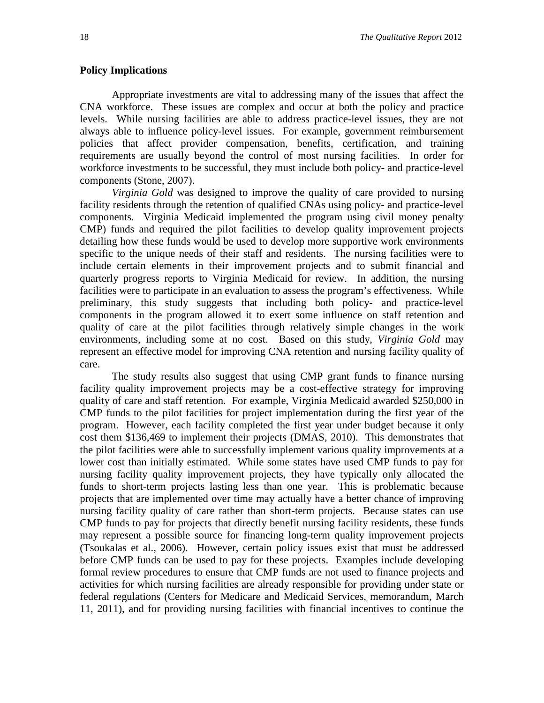#### **Policy Implications**

Appropriate investments are vital to addressing many of the issues that affect the CNA workforce. These issues are complex and occur at both the policy and practice levels. While nursing facilities are able to address practice-level issues, they are not always able to influence policy-level issues. For example, government reimbursement policies that affect provider compensation, benefits, certification, and training requirements are usually beyond the control of most nursing facilities. In order for workforce investments to be successful, they must include both policy- and practice-level components (Stone, 2007).

*Virginia Gold* was designed to improve the quality of care provided to nursing facility residents through the retention of qualified CNAs using policy- and practice-level components. Virginia Medicaid implemented the program using civil money penalty CMP) funds and required the pilot facilities to develop quality improvement projects detailing how these funds would be used to develop more supportive work environments specific to the unique needs of their staff and residents. The nursing facilities were to include certain elements in their improvement projects and to submit financial and quarterly progress reports to Virginia Medicaid for review. In addition, the nursing facilities were to participate in an evaluation to assess the program's effectiveness. While preliminary, this study suggests that including both policy- and practice-level components in the program allowed it to exert some influence on staff retention and quality of care at the pilot facilities through relatively simple changes in the work environments, including some at no cost. Based on this study, *Virginia Gold* may represent an effective model for improving CNA retention and nursing facility quality of care.

The study results also suggest that using CMP grant funds to finance nursing facility quality improvement projects may be a cost-effective strategy for improving quality of care and staff retention. For example, Virginia Medicaid awarded \$250,000 in CMP funds to the pilot facilities for project implementation during the first year of the program. However, each facility completed the first year under budget because it only cost them \$136,469 to implement their projects (DMAS, 2010). This demonstrates that the pilot facilities were able to successfully implement various quality improvements at a lower cost than initially estimated. While some states have used CMP funds to pay for nursing facility quality improvement projects, they have typically only allocated the funds to short-term projects lasting less than one year. This is problematic because projects that are implemented over time may actually have a better chance of improving nursing facility quality of care rather than short-term projects. Because states can use CMP funds to pay for projects that directly benefit nursing facility residents, these funds may represent a possible source for financing long-term quality improvement projects (Tsoukalas et al., 2006). However, certain policy issues exist that must be addressed before CMP funds can be used to pay for these projects. Examples include developing formal review procedures to ensure that CMP funds are not used to finance projects and activities for which nursing facilities are already responsible for providing under state or federal regulations (Centers for Medicare and Medicaid Services, memorandum, March 11, 2011), and for providing nursing facilities with financial incentives to continue the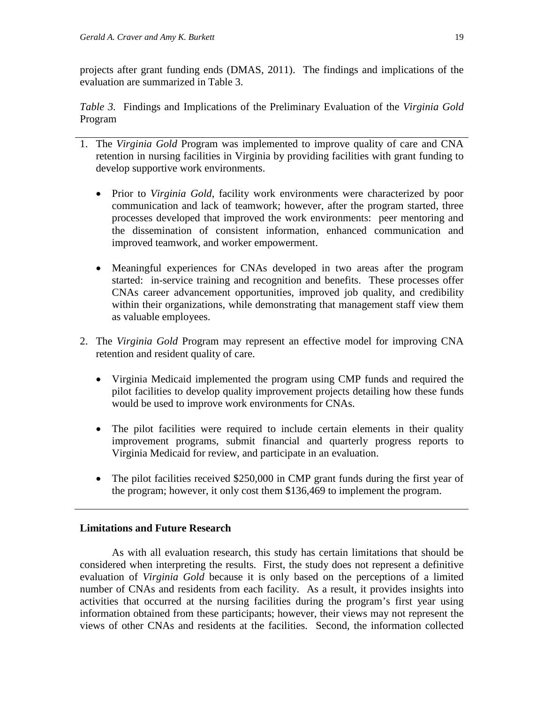projects after grant funding ends (DMAS, 2011). The findings and implications of the evaluation are summarized in Table 3.

*Table 3.* Findings and Implications of the Preliminary Evaluation of the *Virginia Gold* Program

- 1. The *Virginia Gold* Program was implemented to improve quality of care and CNA retention in nursing facilities in Virginia by providing facilities with grant funding to develop supportive work environments.
	- Prior to *Virginia Gold*, facility work environments were characterized by poor communication and lack of teamwork; however, after the program started, three processes developed that improved the work environments: peer mentoring and the dissemination of consistent information, enhanced communication and improved teamwork, and worker empowerment.
	- Meaningful experiences for CNAs developed in two areas after the program started: in-service training and recognition and benefits. These processes offer CNAs career advancement opportunities, improved job quality, and credibility within their organizations, while demonstrating that management staff view them as valuable employees.
- 2. The *Virginia Gold* Program may represent an effective model for improving CNA retention and resident quality of care.
	- Virginia Medicaid implemented the program using CMP funds and required the pilot facilities to develop quality improvement projects detailing how these funds would be used to improve work environments for CNAs.
	- The pilot facilities were required to include certain elements in their quality improvement programs, submit financial and quarterly progress reports to Virginia Medicaid for review, and participate in an evaluation.
	- The pilot facilities received \$250,000 in CMP grant funds during the first year of the program; however, it only cost them \$136,469 to implement the program.

# **Limitations and Future Research**

As with all evaluation research, this study has certain limitations that should be considered when interpreting the results. First, the study does not represent a definitive evaluation of *Virginia Gold* because it is only based on the perceptions of a limited number of CNAs and residents from each facility. As a result, it provides insights into activities that occurred at the nursing facilities during the program's first year using information obtained from these participants; however, their views may not represent the views of other CNAs and residents at the facilities. Second, the information collected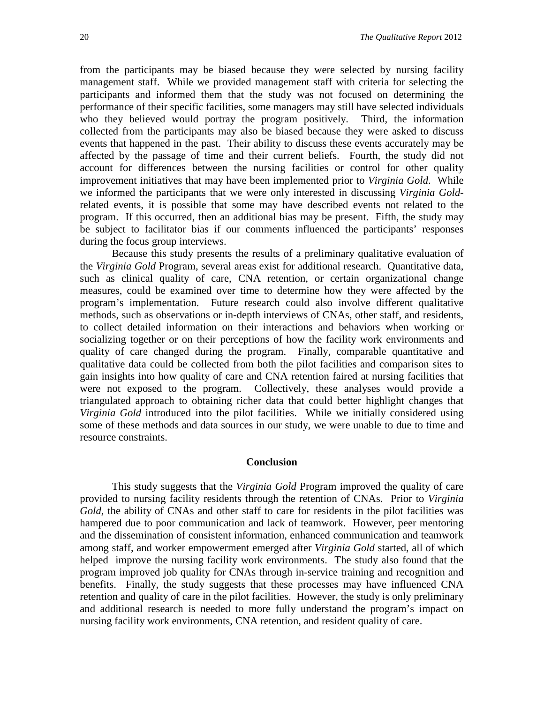from the participants may be biased because they were selected by nursing facility management staff. While we provided management staff with criteria for selecting the participants and informed them that the study was not focused on determining the performance of their specific facilities, some managers may still have selected individuals who they believed would portray the program positively. Third, the information collected from the participants may also be biased because they were asked to discuss events that happened in the past. Their ability to discuss these events accurately may be affected by the passage of time and their current beliefs. Fourth, the study did not account for differences between the nursing facilities or control for other quality improvement initiatives that may have been implemented prior to *Virginia Gold*. While we informed the participants that we were only interested in discussing *Virginia Gold*related events, it is possible that some may have described events not related to the program. If this occurred, then an additional bias may be present. Fifth, the study may be subject to facilitator bias if our comments influenced the participants' responses during the focus group interviews.

Because this study presents the results of a preliminary qualitative evaluation of the *Virginia Gold* Program, several areas exist for additional research. Quantitative data, such as clinical quality of care, CNA retention, or certain organizational change measures, could be examined over time to determine how they were affected by the program's implementation. Future research could also involve different qualitative methods, such as observations or in-depth interviews of CNAs, other staff, and residents, to collect detailed information on their interactions and behaviors when working or socializing together or on their perceptions of how the facility work environments and quality of care changed during the program. Finally, comparable quantitative and qualitative data could be collected from both the pilot facilities and comparison sites to gain insights into how quality of care and CNA retention faired at nursing facilities that were not exposed to the program. Collectively, these analyses would provide a triangulated approach to obtaining richer data that could better highlight changes that *Virginia Gold* introduced into the pilot facilities. While we initially considered using some of these methods and data sources in our study, we were unable to due to time and resource constraints.

#### **Conclusion**

This study suggests that the *Virginia Gold* Program improved the quality of care provided to nursing facility residents through the retention of CNAs. Prior to *Virginia Gold*, the ability of CNAs and other staff to care for residents in the pilot facilities was hampered due to poor communication and lack of teamwork. However, peer mentoring and the dissemination of consistent information, enhanced communication and teamwork among staff, and worker empowerment emerged after *Virginia Gold* started, all of which helped improve the nursing facility work environments. The study also found that the program improved job quality for CNAs through in-service training and recognition and benefits. Finally, the study suggests that these processes may have influenced CNA retention and quality of care in the pilot facilities. However, the study is only preliminary and additional research is needed to more fully understand the program's impact on nursing facility work environments, CNA retention, and resident quality of care.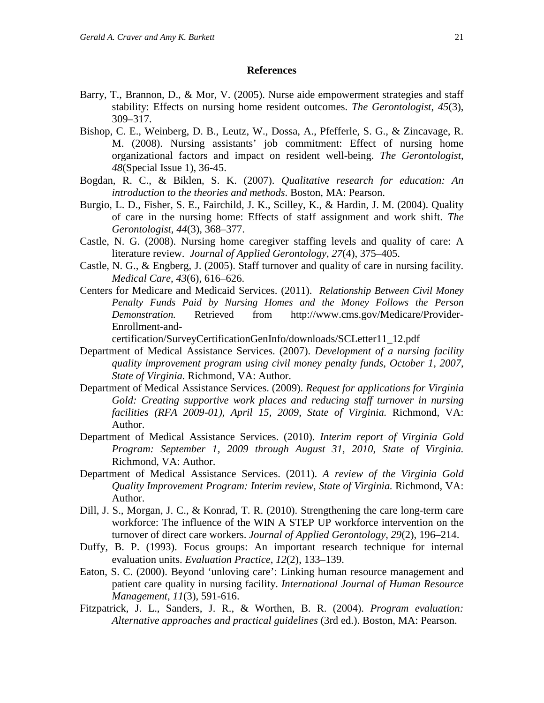#### **References**

- Barry, T., Brannon, D., & Mor, V. (2005). Nurse aide empowerment strategies and staff stability: Effects on nursing home resident outcomes. *The Gerontologist*, *45*(3), 309–317.
- Bishop, C. E., Weinberg, D. B., Leutz, W., Dossa, A., Pfefferle, S. G., & Zincavage, R. M. (2008). Nursing assistants' job commitment: Effect of nursing home organizational factors and impact on resident well-being. *The Gerontologist*, *48*(Special Issue 1), 36-45.
- Bogdan, R. C., & Biklen, S. K. (2007). *Qualitative research for education: An introduction to the theories and methods*. Boston, MA: Pearson.
- Burgio, L. D., Fisher, S. E., Fairchild, J. K., Scilley, K., & Hardin, J. M. (2004). Quality of care in the nursing home: Effects of staff assignment and work shift. *The Gerontologist*, *44*(3), 368–377.
- Castle, N. G. (2008). Nursing home caregiver staffing levels and quality of care: A literature review. *Journal of Applied Gerontology*, *27*(4), 375–405.
- Castle, N. G., & Engberg, J. (2005). Staff turnover and quality of care in nursing facility. *Medical Care*, *43*(6), 616–626.
- Centers for Medicare and Medicaid Services. (2011). *Relationship Between Civil Money Penalty Funds Paid by Nursing Homes and the Money Follows the Person Demonstration.* Retrieved from http://www.cms.gov/Medicare/Provider-Enrollment-and-

certification/SurveyCertificationGenInfo/downloads/SCLetter11\_12.pdf

- Department of Medical Assistance Services. (2007). *Development of a nursing facility quality improvement program using civil money penalty funds*, *October 1, 2007*, *State of Virginia.* Richmond, VA: Author.
- Department of Medical Assistance Services. (2009). *Request for applications for Virginia Gold: Creating supportive work places and reducing staff turnover in nursing facilities (RFA 2009-01), April 15, 2009*, *State of Virginia.* Richmond, VA: Author.
- Department of Medical Assistance Services. (2010). *Interim report of Virginia Gold Program: September 1, 2009 through August 31, 2010*, *State of Virginia.* Richmond, VA: Author.
- Department of Medical Assistance Services. (2011). *A review of the Virginia Gold Quality Improvement Program: Interim review*, *State of Virginia.* Richmond, VA: Author.
- Dill, J. S., Morgan, J. C., & Konrad, T. R. (2010). Strengthening the care long-term care workforce: The influence of the WIN A STEP UP workforce intervention on the turnover of direct care workers. *Journal of Applied Gerontology*, *29*(2), 196–214.
- Duffy, B. P. (1993). Focus groups: An important research technique for internal evaluation units. *Evaluation Practice*, *12*(2), 133–139.
- Eaton, S. C. (2000). Beyond 'unloving care': Linking human resource management and patient care quality in nursing facility. *International Journal of Human Resource Management*, *11*(3), 591-616.
- Fitzpatrick, J. L., Sanders, J. R., & Worthen, B. R. (2004). *Program evaluation: Alternative approaches and practical guidelines* (3rd ed.). Boston, MA: Pearson.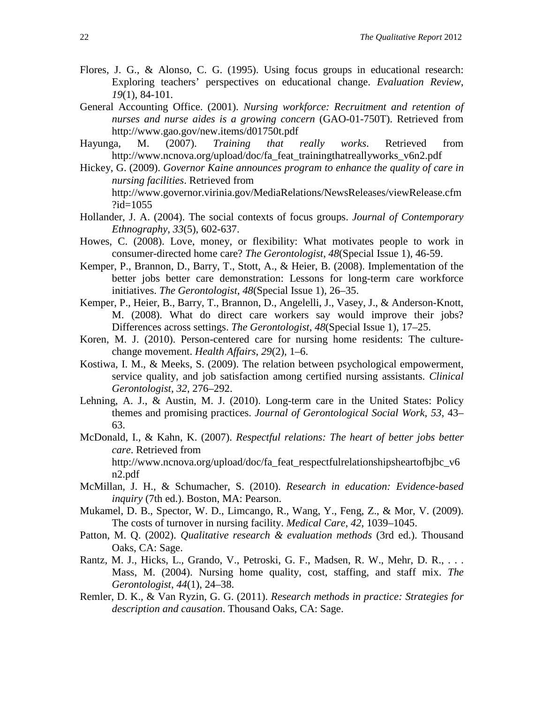- Flores, J. G., & Alonso, C. G. (1995). Using focus groups in educational research: Exploring teachers' perspectives on educational change. *Evaluation Review*, *19*(1), 84-101.
- General Accounting Office. (2001). *Nursing workforce: Recruitment and retention of nurses and nurse aides is a growing concern* (GAO-01-750T). Retrieved from http://www.gao.gov/new.items/d01750t.pdf
- Hayunga, M. (2007). *Training that really works*. Retrieved from http://www.ncnova.org/upload/doc/fa\_feat\_trainingthatreallyworks\_v6n2.pdf
- Hickey, G. (2009). *Governor Kaine announces program to enhance the quality of care in nursing facilities*. Retrieved from http://www.governor.virinia.gov/MediaRelations/NewsReleases/viewRelease.cfm ?id=1055
- Hollander, J. A. (2004). The social contexts of focus groups. *Journal of Contemporary Ethnography*, *33*(5), 602-637.
- Howes, C. (2008). Love, money, or flexibility: What motivates people to work in consumer-directed home care? *The Gerontologist*, *48*(Special Issue 1), 46-59.
- Kemper, P., Brannon, D., Barry, T., Stott, A., & Heier, B. (2008). Implementation of the better jobs better care demonstration: Lessons for long-term care workforce initiatives. *The Gerontologist*, *48*(Special Issue 1), 26–35.
- Kemper, P., Heier, B., Barry, T., Brannon, D., Angelelli, J., Vasey, J., & Anderson-Knott, M. (2008). What do direct care workers say would improve their jobs? Differences across settings. *The Gerontologist*, *48*(Special Issue 1), 17–25.
- Koren, M. J. (2010). Person-centered care for nursing home residents: The culturechange movement. *Health Affairs*, *29*(2), 1–6.
- Kostiwa, I. M., & Meeks, S. (2009). The relation between psychological empowerment, service quality, and job satisfaction among certified nursing assistants. *Clinical Gerontologist*, *32*, 276–292.
- Lehning, A. J., & Austin, M. J. (2010). Long-term care in the United States: Policy themes and promising practices. *Journal of Gerontological Social Work*, *53*, 43– 63.
- McDonald, I., & Kahn, K. (2007). *Respectful relations: The heart of better jobs better care*. Retrieved from http://www.ncnova.org/upload/doc/fa\_feat\_respectfulrelationshipsheartofbjbc\_v6 n2.pdf
- McMillan, J. H., & Schumacher, S. (2010). *Research in education: Evidence-based inquiry* (7th ed.). Boston, MA: Pearson.
- Mukamel, D. B., Spector, W. D., Limcango, R., Wang, Y., Feng, Z., & Mor, V. (2009). The costs of turnover in nursing facility. *Medical Care*, *42*, 1039–1045.
- Patton, M. Q. (2002). *Qualitative research & evaluation methods* (3rd ed.). Thousand Oaks, CA: Sage.
- Rantz, M. J., Hicks, L., Grando, V., Petroski, G. F., Madsen, R. W., Mehr, D. R., ... Mass, M. (2004). Nursing home quality, cost, staffing, and staff mix. *The Gerontologist*, *44*(1), 24–38.
- Remler, D. K., & Van Ryzin, G. G. (2011). *Research methods in practice: Strategies for description and causation*. Thousand Oaks, CA: Sage.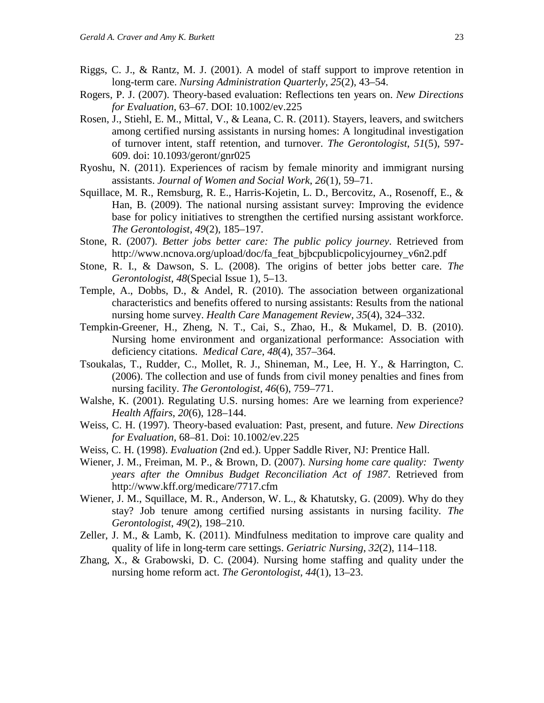- Riggs, C. J., & Rantz, M. J. (2001). A model of staff support to improve retention in long-term care. *Nursing Administration Quarterly*, *25*(2), 43–54.
- Rogers, P. J. (2007). Theory-based evaluation: Reflections ten years on. *New Directions for Evaluation*, 63–67. DOI: 10.1002/ev.225
- Rosen, J., Stiehl, E. M., Mittal, V., & Leana, C. R. (2011). Stayers, leavers, and switchers among certified nursing assistants in nursing homes: A longitudinal investigation of turnover intent, staff retention, and turnover. *The Gerontologist*, *51*(5), 597- 609. doi: 10.1093/geront/gnr025
- Ryoshu, N. (2011). Experiences of racism by female minority and immigrant nursing assistants. *Journal of Women and Social Work*, *26*(1), 59–71.
- Squillace, M. R., Remsburg, R. E., Harris-Kojetin, L. D., Bercovitz, A., Rosenoff, E., & Han, B. (2009). The national nursing assistant survey: Improving the evidence base for policy initiatives to strengthen the certified nursing assistant workforce. *The Gerontologist*, *49*(2), 185–197.
- Stone, R. (2007). *Better jobs better care: The public policy journey*. Retrieved from http://www.ncnova.org/upload/doc/fa\_feat\_bjbcpublicpolicyjourney\_v6n2.pdf
- Stone, R. I., & Dawson, S. L. (2008). The origins of better jobs better care. *The Gerontologist*, *48*(Special Issue 1), 5–13.
- Temple, A., Dobbs, D., & Andel, R. (2010). The association between organizational characteristics and benefits offered to nursing assistants: Results from the national nursing home survey. *Health Care Management Review*, *35*(4), 324–332.
- Tempkin-Greener, H., Zheng, N. T., Cai, S., Zhao, H., & Mukamel, D. B. (2010). Nursing home environment and organizational performance: Association with deficiency citations. *Medical Care*, *48*(4), 357–364.
- Tsoukalas, T., Rudder, C., Mollet, R. J., Shineman, M., Lee, H. Y., & Harrington, C. (2006). The collection and use of funds from civil money penalties and fines from nursing facility. *The Gerontologist*, *46*(6), 759–771.
- Walshe, K. (2001). Regulating U.S. nursing homes: Are we learning from experience? *Health Affairs*, *20*(6), 128–144.
- Weiss, C. H. (1997). Theory-based evaluation: Past, present, and future. *New Directions for Evaluation*, 68–81. Doi: 10.1002/ev.225
- Weiss, C. H. (1998). *Evaluation* (2nd ed.). Upper Saddle River, NJ: Prentice Hall.
- Wiener, J. M., Freiman, M. P., & Brown, D. (2007). *Nursing home care quality: Twenty years after the Omnibus Budget Reconciliation Act of 1987*. Retrieved from http://www.kff.org/medicare/7717.cfm
- Wiener, J. M., Squillace, M. R., Anderson, W. L., & Khatutsky, G. (2009). Why do they stay? Job tenure among certified nursing assistants in nursing facility. *The Gerontologist*, *49*(2), 198–210.
- Zeller, J. M., & Lamb, K. (2011). Mindfulness meditation to improve care quality and quality of life in long-term care settings. *Geriatric Nursing*, *32*(2), 114–118.
- Zhang, X., & Grabowski, D. C. (2004). Nursing home staffing and quality under the nursing home reform act. *The Gerontologist, 44*(1), 13–23.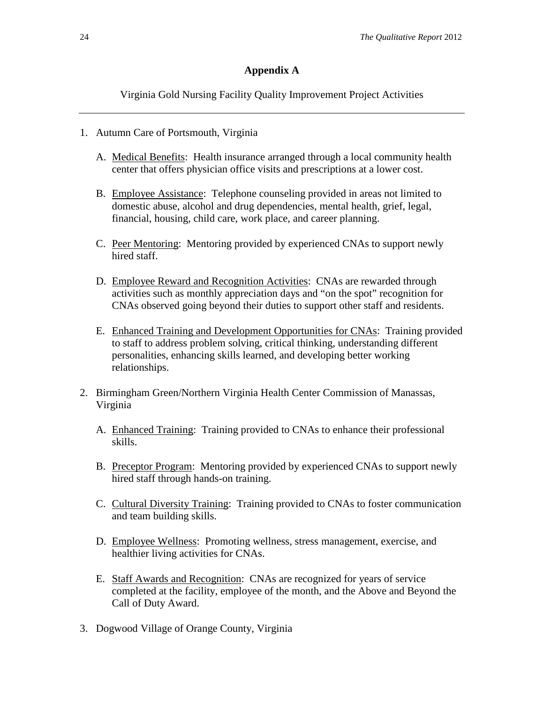# **Appendix A**

Virginia Gold Nursing Facility Quality Improvement Project Activities

- 1. Autumn Care of Portsmouth, Virginia
	- A. Medical Benefits: Health insurance arranged through a local community health center that offers physician office visits and prescriptions at a lower cost.
	- B. Employee Assistance: Telephone counseling provided in areas not limited to domestic abuse, alcohol and drug dependencies, mental health, grief, legal, financial, housing, child care, work place, and career planning.
	- C. Peer Mentoring: Mentoring provided by experienced CNAs to support newly hired staff.
	- D. Employee Reward and Recognition Activities: CNAs are rewarded through activities such as monthly appreciation days and "on the spot" recognition for CNAs observed going beyond their duties to support other staff and residents.
	- E. Enhanced Training and Development Opportunities for CNAs: Training provided to staff to address problem solving, critical thinking, understanding different personalities, enhancing skills learned, and developing better working relationships.
- 2. Birmingham Green/Northern Virginia Health Center Commission of Manassas, Virginia
	- A. Enhanced Training: Training provided to CNAs to enhance their professional skills.
	- B. Preceptor Program: Mentoring provided by experienced CNAs to support newly hired staff through hands-on training.
	- C. Cultural Diversity Training: Training provided to CNAs to foster communication and team building skills.
	- D. Employee Wellness: Promoting wellness, stress management, exercise, and healthier living activities for CNAs.
	- E. Staff Awards and Recognition: CNAs are recognized for years of service completed at the facility, employee of the month, and the Above and Beyond the Call of Duty Award.
- 3. Dogwood Village of Orange County, Virginia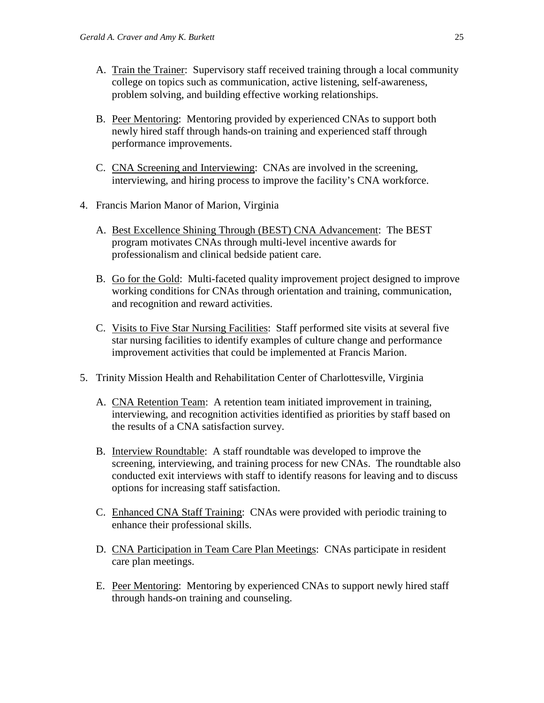- A. Train the Trainer: Supervisory staff received training through a local community college on topics such as communication, active listening, self-awareness, problem solving, and building effective working relationships.
- B. Peer Mentoring: Mentoring provided by experienced CNAs to support both newly hired staff through hands-on training and experienced staff through performance improvements.
- C. CNA Screening and Interviewing: CNAs are involved in the screening, interviewing, and hiring process to improve the facility's CNA workforce.
- 4. Francis Marion Manor of Marion, Virginia
	- A. Best Excellence Shining Through (BEST) CNA Advancement: The BEST program motivates CNAs through multi-level incentive awards for professionalism and clinical bedside patient care.
	- B. Go for the Gold: Multi-faceted quality improvement project designed to improve working conditions for CNAs through orientation and training, communication, and recognition and reward activities.
	- C. Visits to Five Star Nursing Facilities: Staff performed site visits at several five star nursing facilities to identify examples of culture change and performance improvement activities that could be implemented at Francis Marion.
- 5. Trinity Mission Health and Rehabilitation Center of Charlottesville, Virginia
	- A. CNA Retention Team: A retention team initiated improvement in training, interviewing, and recognition activities identified as priorities by staff based on the results of a CNA satisfaction survey.
	- B. Interview Roundtable: A staff roundtable was developed to improve the screening, interviewing, and training process for new CNAs. The roundtable also conducted exit interviews with staff to identify reasons for leaving and to discuss options for increasing staff satisfaction.
	- C. Enhanced CNA Staff Training: CNAs were provided with periodic training to enhance their professional skills.
	- D. CNA Participation in Team Care Plan Meetings: CNAs participate in resident care plan meetings.
	- E. Peer Mentoring: Mentoring by experienced CNAs to support newly hired staff through hands-on training and counseling.